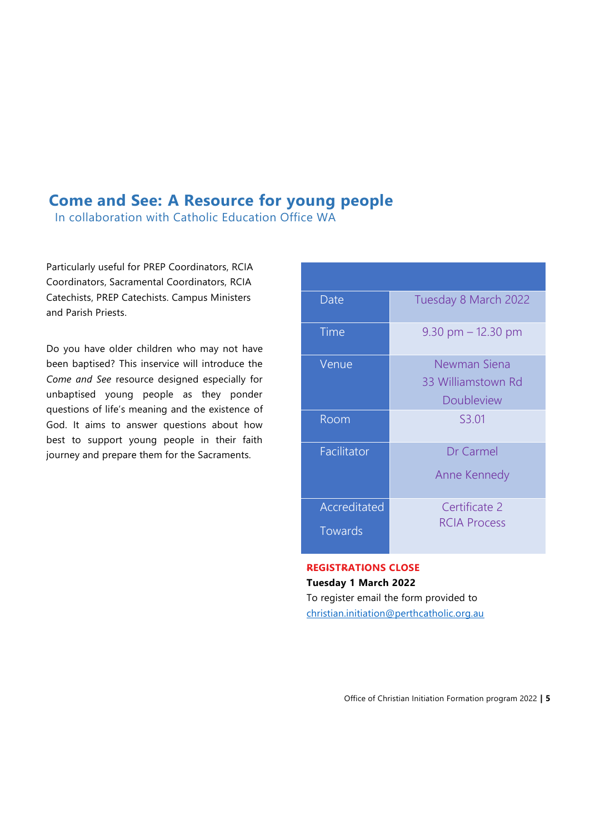## **Come and See: A Resource for young people**

In collaboration with Catholic Education Office WA

Particularly useful for PREP Coordinators, RCIA Coordinators, Sacramental Coordinators, RCIA Catechists, PREP Catechists. Campus Ministers and Parish Priests.

Do you have older children who may not have been baptised? This inservice will introduce the *Come and See* resource designed especially for unbaptised young people as they ponder questions of life's meaning and the existence of God. It aims to answer questions about how best to support young people in their faith journey and prepare them for the Sacraments.

| Date                    | Tuesday 8 March 2022                                    |
|-------------------------|---------------------------------------------------------|
| Time                    | $9.30$ pm $-12.30$ pm                                   |
| Venue                   | Newman Siena<br>33 Williamstown Rd<br><b>Doubleview</b> |
| Room                    | S3.01                                                   |
| Facilitator             | <b>Dr</b> Carmel<br>Anne Kennedy                        |
| Accreditated<br>Towards | Certificate 2<br><b>RCIA Process</b>                    |

## **REGISTRATIONS CLOSE Tuesday 1 March 2022** To register email the form provided to

[christian.initiation@perthcatholic.org.au](mailto:christian.initiation@perthcatholic.org.au)

Office of Christian Initiation Formation program 2022 **| 5**